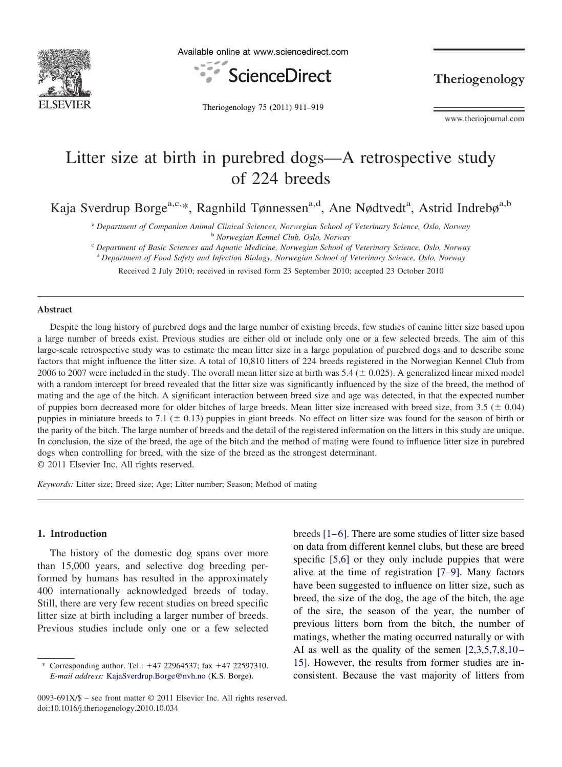

Available online at www.sciencedirect.com



Theriogenology

Theriogenology 75 (2011) 911–919

www.theriojournal.com

# Litter size at birth in purebred dogs—A retrospective study of 224 breeds

Kaja Sverdrup Borge<sup>a,c,\*</sup>, Ragnhild Tønnessen<sup>a,d</sup>, Ane Nødtvedt<sup>a</sup>, Astrid Indrebø<sup>a,b</sup>

<sup>a</sup> *Department of Companion Animal Clinical Sciences, Norwegian School of Veterinary Science, Oslo, Norway* <sup>b</sup> *Norwegian Kennel Club, Oslo, Norway*

<sup>c</sup> *Department of Basic Sciences and Aquatic Medicine, Norwegian School of Veterinary Science, Oslo, Norway*

<sup>d</sup> *Department of Food Safety and Infection Biology, Norwegian School of Veterinary Science, Oslo, Norway*

Received 2 July 2010; received in revised form 23 September 2010; accepted 23 October 2010

## **Abstract**

Despite the long history of purebred dogs and the large number of existing breeds, few studies of canine litter size based upon a large number of breeds exist. Previous studies are either old or include only one or a few selected breeds. The aim of this large-scale retrospective study was to estimate the mean litter size in a large population of purebred dogs and to describe some factors that might influence the litter size. A total of 10,810 litters of 224 breeds registered in the Norwegian Kennel Club from 2006 to 2007 were included in the study. The overall mean litter size at birth was  $5.4 (\pm 0.025)$ . A generalized linear mixed model with a random intercept for breed revealed that the litter size was significantly influenced by the size of the breed, the method of mating and the age of the bitch. A significant interaction between breed size and age was detected, in that the expected number of puppies born decreased more for older bitches of large breeds. Mean litter size increased with breed size, from  $3.5 \ (\pm 0.04)$ puppies in miniature breeds to 7.1 ( $\pm$  0.13) puppies in giant breeds. No effect on litter size was found for the season of birth or the parity of the bitch. The large number of breeds and the detail of the registered information on the litters in this study are unique. In conclusion, the size of the breed, the age of the bitch and the method of mating were found to influence litter size in purebred dogs when controlling for breed, with the size of the breed as the strongest determinant. © 2011 Elsevier Inc. All rights reserved.

*Keywords:* Litter size; Breed size; Age; Litter number; Season; Method of mating

#### **1. Introduction**

The history of the domestic dog spans over more than 15,000 years, and selective dog breeding performed by humans has resulted in the approximately 400 internationally acknowledged breeds of today. Still, there are very few recent studies on breed specific litter size at birth including a larger number of breeds. Previous studies include only one or a few selected

<sup>\*</sup> Corresponding author. Tel.: -47 22964537; fax -47 22597310. *E-mail address:* [KajaSverdrup.Borge@nvh.no](mailto:KajaSverdrup.Borge@nvh.no) (K.S. Borge).

breeds [\[1–6\].](#page-8-0) There are some studies of litter size based on data from different kennel clubs, but these are breed specific [\[5,6\]](#page-8-0) or they only include puppies that were alive at the time of registration [\[7–9\].](#page-8-0) Many factors have been suggested to influence on litter size, such as breed, the size of the dog, the age of the bitch, the age of the sire, the season of the year, the number of previous litters born from the bitch, the number of matings, whether the mating occurred naturally or with AI as well as the quality of the semen  $[2,3,5,7,8,10-$ [15\].](#page-8-0) However, the results from former studies are inconsistent. Because the vast majority of litters from

<sup>0093-691</sup>X/\$ – see front matter © 2011 Elsevier Inc. All rights reserved. doi:10.1016/j.theriogenology.2010.10.034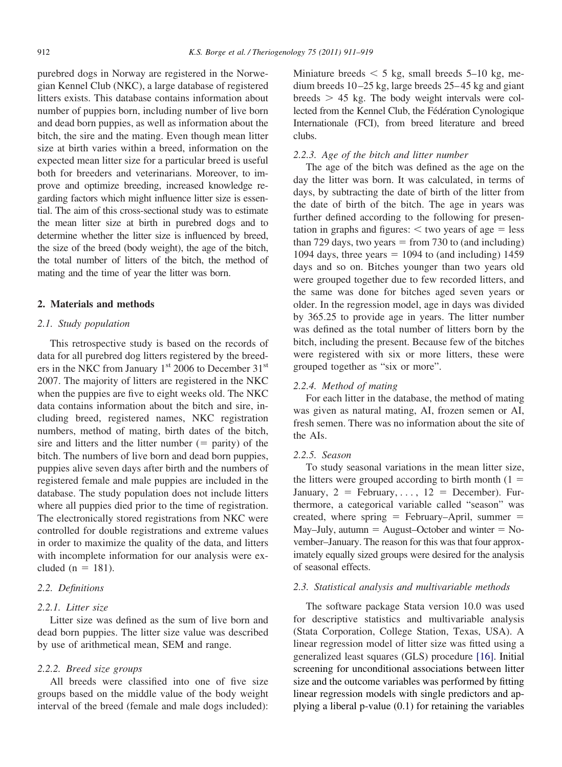purebred dogs in Norway are registered in the Norwegian Kennel Club (NKC), a large database of registered litters exists. This database contains information about number of puppies born, including number of live born and dead born puppies, as well as information about the bitch, the sire and the mating. Even though mean litter size at birth varies within a breed, information on the expected mean litter size for a particular breed is useful both for breeders and veterinarians. Moreover, to improve and optimize breeding, increased knowledge regarding factors which might influence litter size is essential. The aim of this cross-sectional study was to estimate the mean litter size at birth in purebred dogs and to determine whether the litter size is influenced by breed, the size of the breed (body weight), the age of the bitch, the total number of litters of the bitch, the method of mating and the time of year the litter was born.

#### **2. Materials and methods**

## *2.1. Study population*

This retrospective study is based on the records of data for all purebred dog litters registered by the breeders in the NKC from January 1<sup>st</sup> 2006 to December 31<sup>st</sup> 2007. The majority of litters are registered in the NKC when the puppies are five to eight weeks old. The NKC data contains information about the bitch and sire, including breed, registered names, NKC registration numbers, method of mating, birth dates of the bitch, sire and litters and the litter number  $($  = parity) of the bitch. The numbers of live born and dead born puppies, puppies alive seven days after birth and the numbers of registered female and male puppies are included in the database. The study population does not include litters where all puppies died prior to the time of registration. The electronically stored registrations from NKC were controlled for double registrations and extreme values in order to maximize the quality of the data, and litters with incomplete information for our analysis were excluded ( $n = 181$ ).

## *2.2. Definitions*

#### *2.2.1. Litter size*

Litter size was defined as the sum of live born and dead born puppies. The litter size value was described by use of arithmetical mean, SEM and range.

# *2.2.2. Breed size groups*

All breeds were classified into one of five size groups based on the middle value of the body weight interval of the breed (female and male dogs included):

Miniature breeds  $\leq 5$  kg, small breeds 5–10 kg, medium breeds 10–25 kg, large breeds 25–45 kg and giant breeds  $> 45$  kg. The body weight intervals were collected from the Kennel Club, the Fédération Cynologique Internationale (FCI), from breed literature and breed clubs.

#### *2.2.3. Age of the bitch and litter number*

The age of the bitch was defined as the age on the day the litter was born. It was calculated, in terms of days, by subtracting the date of birth of the litter from the date of birth of the bitch. The age in years was further defined according to the following for presentation in graphs and figures:  $\lt$  two years of age  $=$  less than 729 days, two years  $=$  from 730 to (and including) 1094 days, three years  $= 1094$  to (and including) 1459 days and so on. Bitches younger than two years old were grouped together due to few recorded litters, and the same was done for bitches aged seven years or older. In the regression model, age in days was divided by 365.25 to provide age in years. The litter number was defined as the total number of litters born by the bitch, including the present. Because few of the bitches were registered with six or more litters, these were grouped together as "six or more".

#### *2.2.4. Method of mating*

For each litter in the database, the method of mating was given as natural mating, AI, frozen semen or AI, fresh semen. There was no information about the site of the AIs.

#### *2.2.5. Season*

To study seasonal variations in the mean litter size, the litters were grouped according to birth month  $(1 =$ January,  $2 = \text{February}, \ldots, 12 = \text{December}$ . Furthermore, a categorical variable called "season" was created, where spring  $=$  February–April, summer  $=$ May–July, autumn  $=$  August–October and winter  $=$  November–January. The reason for this was that four approximately equally sized groups were desired for the analysis of seasonal effects.

#### *2.3. Statistical analysis and multivariable methods*

The software package Stata version 10.0 was used for descriptive statistics and multivariable analysis (Stata Corporation, College Station, Texas, USA). A linear regression model of litter size was fitted using a generalized least squares (GLS) procedure [\[16\].](#page-8-0) Initial screening for unconditional associations between litter size and the outcome variables was performed by fitting linear regression models with single predictors and applying a liberal p-value (0.1) for retaining the variables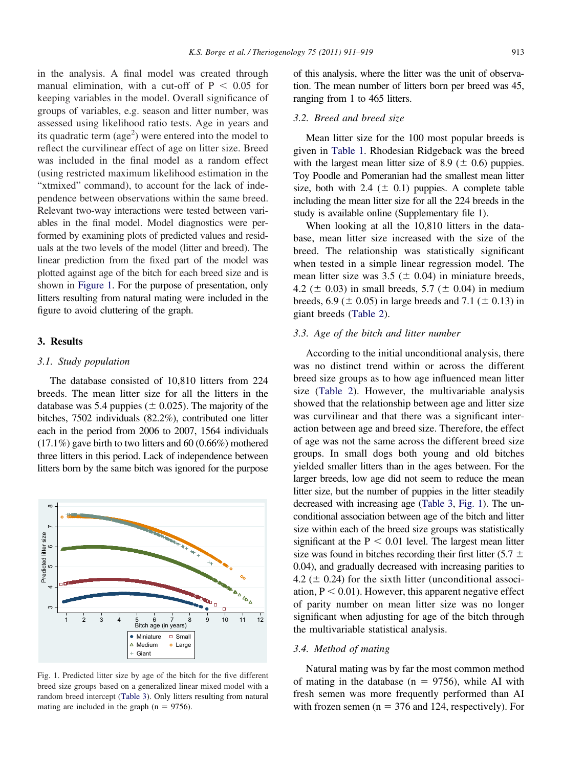<span id="page-2-0"></span>in the analysis. A final model was created through manual elimination, with a cut-off of  $P < 0.05$  for keeping variables in the model. Overall significance of groups of variables, e.g. season and litter number, was assessed using likelihood ratio tests. Age in years and its quadratic term (age<sup>2</sup>) were entered into the model to reflect the curvilinear effect of age on litter size. Breed was included in the final model as a random effect (using restricted maximum likelihood estimation in the "xtmixed" command), to account for the lack of independence between observations within the same breed. Relevant two-way interactions were tested between variables in the final model. Model diagnostics were performed by examining plots of predicted values and residuals at the two levels of the model (litter and breed). The linear prediction from the fixed part of the model was plotted against age of the bitch for each breed size and is shown in Figure 1. For the purpose of presentation, only litters resulting from natural mating were included in the figure to avoid cluttering of the graph.

## **3. Results**

#### *3.1. Study population*

The database consisted of 10,810 litters from 224 breeds. The mean litter size for all the litters in the database was 5.4 puppies ( $\pm$  0.025). The majority of the bitches, 7502 individuals (82.2%), contributed one litter each in the period from 2006 to 2007, 1564 individuals (17.1%) gave birth to two litters and 60 (0.66%) mothered three litters in this period. Lack of independence between litters born by the same bitch was ignored for the purpose



Fig. 1. Predicted litter size by age of the bitch for the five different breed size groups based on a generalized linear mixed model with a random breed intercept [\(Table 3\)](#page-4-0). Only litters resulting from natural mating are included in the graph  $(n = 9756)$ .

of this analysis, where the litter was the unit of observation. The mean number of litters born per breed was 45, ranging from 1 to 465 litters.

# *3.2. Breed and breed size*

Mean litter size for the 100 most popular breeds is given in [Table 1.](#page-3-0) Rhodesian Ridgeback was the breed with the largest mean litter size of 8.9 ( $\pm$  0.6) puppies. Toy Poodle and Pomeranian had the smallest mean litter size, both with 2.4 ( $\pm$  0.1) puppies. A complete table including the mean litter size for all the 224 breeds in the study is available online (Supplementary file 1).

When looking at all the 10,810 litters in the database, mean litter size increased with the size of the breed. The relationship was statistically significant when tested in a simple linear regression model. The mean litter size was  $3.5 \ (\pm 0.04)$  in miniature breeds, 4.2 ( $\pm$  0.03) in small breeds, 5.7 ( $\pm$  0.04) in medium breeds, 6.9 ( $\pm$  0.05) in large breeds and 7.1 ( $\pm$  0.13) in giant breeds [\(Table 2\)](#page-4-0).

#### *3.3. Age of the bitch and litter number*

According to the initial unconditional analysis, there was no distinct trend within or across the different breed size groups as to how age influenced mean litter size [\(Table 2\)](#page-4-0). However, the multivariable analysis showed that the relationship between age and litter size was curvilinear and that there was a significant interaction between age and breed size. Therefore, the effect of age was not the same across the different breed size groups. In small dogs both young and old bitches yielded smaller litters than in the ages between. For the larger breeds, low age did not seem to reduce the mean litter size, but the number of puppies in the litter steadily decreased with increasing age [\(Table 3,](#page-4-0) Fig. 1). The unconditional association between age of the bitch and litter size within each of the breed size groups was statistically significant at the  $P < 0.01$  level. The largest mean litter size was found in bitches recording their first litter (5.7  $\pm$ 0.04), and gradually decreased with increasing parities to 4.2 ( $\pm$  0.24) for the sixth litter (unconditional association,  $P < 0.01$ ). However, this apparent negative effect of parity number on mean litter size was no longer significant when adjusting for age of the bitch through the multivariable statistical analysis.

## *3.4. Method of mating*

Natural mating was by far the most common method of mating in the database ( $n = 9756$ ), while AI with fresh semen was more frequently performed than AI with frozen semen ( $n = 376$  and 124, respectively). For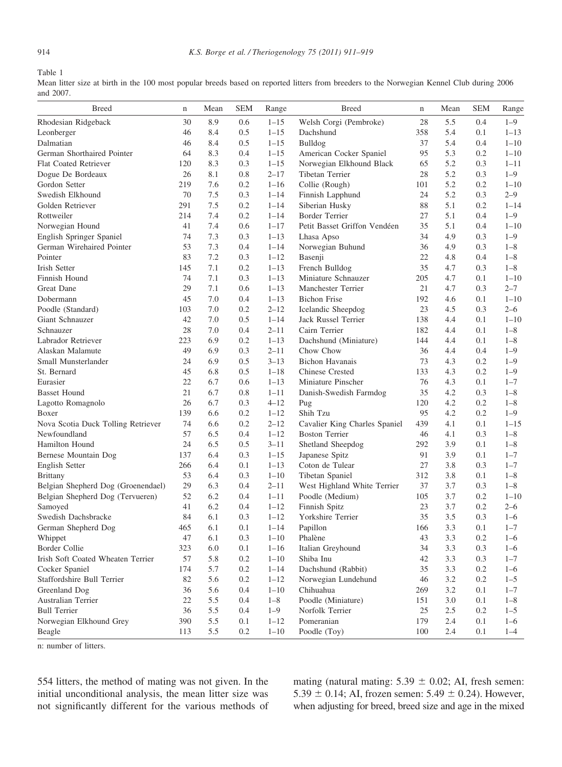<span id="page-3-0"></span>Table 1

Mean litter size at birth in the 100 most popular breeds based on reported litters from breeders to the Norwegian Kennel Club during 2006 and 2007.

| <b>Breed</b>                       | $\mathbf n$ | Mean | <b>SEM</b> | Range    | <b>Breed</b>                  | $\mathbf n$ | Mean | <b>SEM</b> | Range    |
|------------------------------------|-------------|------|------------|----------|-------------------------------|-------------|------|------------|----------|
| Rhodesian Ridgeback                | 30          | 8.9  | 0.6        | $1 - 15$ | Welsh Corgi (Pembroke)        | 28          | 5.5  | 0.4        | $1 - 9$  |
| Leonberger                         | 46          | 8.4  | 0.5        | $1 - 15$ | Dachshund                     | 358         | 5.4  | 0.1        | $1 - 13$ |
| Dalmatian                          | 46          | 8.4  | 0.5        | $1 - 15$ | Bulldog                       | 37          | 5.4  | 0.4        | $1 - 10$ |
| German Shorthaired Pointer         | 64          | 8.3  | 0.4        | $1 - 15$ | American Cocker Spaniel       | 95          | 5.3  | 0.2        | $1 - 10$ |
| <b>Flat Coated Retriever</b>       | 120         | 8.3  | 0.3        | $1 - 15$ | Norwegian Elkhound Black      | 65          | 5.2  | 0.3        | $1 - 11$ |
| Dogue De Bordeaux                  | 26          | 8.1  | 0.8        | $2 - 17$ | Tibetan Terrier               | 28          | 5.2  | 0.3        | $1 - 9$  |
| Gordon Setter                      | 219         | 7.6  | 0.2        | $1 - 16$ | Collie (Rough)                | 101         | 5.2  | 0.2        | $1 - 10$ |
| Swedish Elkhound                   | 70          | 7.5  | 0.3        | $1 - 14$ | Finnish Lapphund              | 24          | 5.2  | 0.3        | $2 - 9$  |
| Golden Retriever                   | 291         | 7.5  | 0.2        | $1 - 14$ | Siberian Husky                | 88          | 5.1  | 0.2        | $1 - 14$ |
| Rottweiler                         | 214         | 7.4  | 0.2        | $1 - 14$ | <b>Border Terrier</b>         | 27          | 5.1  | 0.4        | $1 - 9$  |
| Norwegian Hound                    | 41          | 7.4  | 0.6        | $1 - 17$ | Petit Basset Griffon Vendéen  | 35          | 5.1  | 0.4        | $1 - 10$ |
| English Springer Spaniel           | 74          | 7.3  | 0.3        | $1 - 13$ | Lhasa Apso                    | 34          | 4.9  | 0.3        | $1 - 9$  |
| German Wirehaired Pointer          | 53          | 7.3  | 0.4        | $1 - 14$ | Norwegian Buhund              | 36          | 4.9  | 0.3        | $1 - 8$  |
| Pointer                            | 83          | 7.2  | 0.3        | $1 - 12$ | Basenji                       | 22          | 4.8  | 0.4        | $1 - 8$  |
| <b>Irish Setter</b>                | 145         | 7.1  | 0.2        | $1 - 13$ | French Bulldog                | 35          | 4.7  | 0.3        | $1 - 8$  |
| Finnish Hound                      | 74          | 7.1  | 0.3        | $1 - 13$ | Miniature Schnauzer           | 205         | 4.7  | 0.1        | $1 - 10$ |
| <b>Great Dane</b>                  | 29          | 7.1  | 0.6        | $1 - 13$ | Manchester Terrier            | 21          | 4.7  | 0.3        | $2 - 7$  |
| Dobermann                          | 45          | 7.0  | 0.4        | $1 - 13$ | <b>Bichon Frise</b>           | 192         | 4.6  | 0.1        | $1 - 10$ |
| Poodle (Standard)                  | 103         | 7.0  | 0.2        | $2 - 12$ | Icelandic Sheepdog            | 23          | 4.5  | 0.3        | $2 - 6$  |
| Giant Schnauzer                    | 42          | 7.0  | 0.5        | $1 - 14$ | Jack Russel Terrier           | 138         | 4.4  | 0.1        | $1 - 10$ |
| Schnauzer                          | 28          | 7.0  | 0.4        | $2 - 11$ | Cairn Terrier                 | 182         | 4.4  | 0.1        | $1 - 8$  |
| Labrador Retriever                 | 223         | 6.9  | 0.2        | $1 - 13$ | Dachshund (Miniature)         | 144         | 4.4  | 0.1        | $1 - 8$  |
| Alaskan Malamute                   | 49          | 6.9  | 0.3        | $2 - 11$ | Chow Chow                     | 36          | 4.4  | 0.4        | $1 - 9$  |
| Small Munsterlander                | 24          | 6.9  | 0.5        | $3 - 13$ | <b>Bichon Havanais</b>        | 73          | 4.3  | 0.2        | $1 - 9$  |
| St. Bernard                        | 45          | 6.8  | 0.5        | $1 - 18$ | <b>Chinese Crested</b>        | 133         | 4.3  | 0.2        | $1 - 9$  |
| Eurasier                           | 22          | 6.7  | 0.6        | $1 - 13$ | Miniature Pinscher            | 76          | 4.3  | 0.1        | $1 - 7$  |
| <b>Basset Hound</b>                | 21          | 6.7  | 0.8        | $1 - 11$ | Danish-Swedish Farmdog        | 35          | 4.2  | 0.3        | $1 - 8$  |
| Lagotto Romagnolo                  | 26          | 6.7  | 0.3        | $4 - 12$ | Pug                           | 120         | 4.2  | 0.2        | $1 - 8$  |
| Boxer                              | 139         | 6.6  | 0.2        | $1 - 12$ | Shih Tzu                      | 95          | 4.2  | 0.2        | $1 - 9$  |
| Nova Scotia Duck Tolling Retriever | 74          | 6.6  | 0.2        | $2 - 12$ | Cavalier King Charles Spaniel | 439         | 4.1  | 0.1        | $1 - 15$ |
| Newfoundland                       | 57          | 6.5  | 0.4        | $1 - 12$ | <b>Boston Terrier</b>         | 46          | 4.1  | 0.3        | $1 - 8$  |
| Hamilton Hound                     | 24          | 6.5  | 0.5        | $3 - 11$ | Shetland Sheepdog             | 292         | 3.9  | 0.1        | $1 - 8$  |
| Bernese Mountain Dog               | 137         | 6.4  | 0.3        | $1 - 15$ | Japanese Spitz                | 91          | 3.9  | 0.1        | $1 - 7$  |
| English Setter                     | 266         | 6.4  | 0.1        | $1 - 13$ | Coton de Tulear               | 27          | 3.8  | 0.3        | $1 - 7$  |
| Brittany                           | 53          | 6.4  | 0.3        | $1 - 10$ | Tibetan Spaniel               | 312         | 3.8  | 0.1        | $1 - 8$  |
| Belgian Shepherd Dog (Groenendael) | 29          | 6.3  | 0.4        | $2 - 11$ | West Highland White Terrier   | 37          | 3.7  | 0.3        | $1 - 8$  |
| Belgian Shepherd Dog (Tervueren)   | 52          | 6.2  | 0.4        | $1 - 11$ | Poodle (Medium)               | 105         | 3.7  | 0.2        | $1 - 10$ |
| Samoved                            | 41          | 6.2  | 0.4        | $1 - 12$ | Finnish Spitz                 | 23          | 3.7  | 0.2        | $2 - 6$  |
| Swedish Dachsbracke                | 84          | 6.1  | 0.3        | $1 - 12$ | Yorkshire Terrier             | 35          | 3.5  | 0.3        | $1 - 6$  |
| German Shepherd Dog                | 465         | 6.1  | 0.1        | $1 - 14$ | Papillon                      | 166         | 3.3  | 0.1        | $1 - 7$  |
| Whippet                            | 47          | 6.1  | 0.3        | $1 - 10$ | Phalène                       | 43          | 3.3  | 0.2        | $1 - 6$  |
| Border Collie                      | 323         | 6.0  | 0.1        | $1 - 16$ | Italian Greyhound             | 34          | 3.3  | 0.3        | $1 - 6$  |
| Irish Soft Coated Wheaten Terrier  | 57          | 5.8  | 0.2        | $1 - 10$ | Shiba Inu                     | 42          | 3.3  | 0.3        | $1 - 7$  |
| Cocker Spaniel                     | 174         | 5.7  | 0.2        | $1 - 14$ | Dachshund (Rabbit)            | 35          | 3.3  | 0.2        | $1 - 6$  |
| Staffordshire Bull Terrier         | 82          | 5.6  | 0.2        | $1 - 12$ | Norwegian Lundehund           | 46          | 3.2  | 0.2        | $1 - 5$  |
| Greenland Dog                      | 36          | 5.6  | 0.4        | $1 - 10$ | Chihuahua                     | 269         | 3.2  | 0.1        | $1 - 7$  |
| Australian Terrier                 | 22          | 5.5  | 0.4        | $1 - 8$  | Poodle (Miniature)            | 151         | 3.0  | 0.1        | $1 - 8$  |
| <b>Bull Terrier</b>                | 36          | 5.5  | 0.4        | $1 - 9$  | Norfolk Terrier               | 25          | 2.5  | 0.2        | $1 - 5$  |
| Norwegian Elkhound Grey            | 390         | 5.5  | 0.1        | $1 - 12$ | Pomeranian                    | 179         | 2.4  | 0.1        | $1 - 6$  |
| Beagle                             | 113         | 5.5  | 0.2        | $1 - 10$ | Poodle (Toy)                  | 100         | 2.4  | 0.1        | $1 - 4$  |
|                                    |             |      |            |          |                               |             |      |            |          |

n: number of litters.

554 litters, the method of mating was not given. In the initial unconditional analysis, the mean litter size was not significantly different for the various methods of mating (natural mating:  $5.39 \pm 0.02$ ; AI, fresh semen: 5.39  $\pm$  0.14; AI, frozen semen: 5.49  $\pm$  0.24). However, when adjusting for breed, breed size and age in the mixed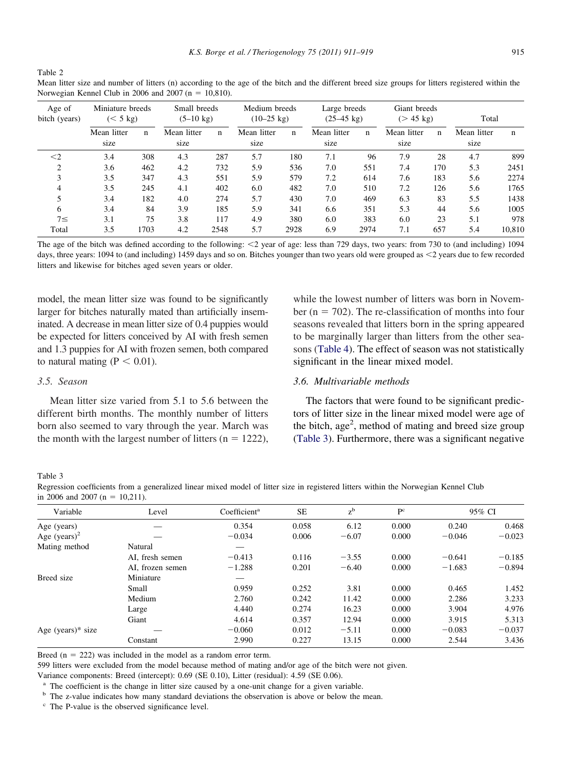<span id="page-4-0"></span>Table 2

| Mean litter size and number of litters (n) according to the age of the bitch and the different breed size groups for litters registered within the |  |  |  |
|----------------------------------------------------------------------------------------------------------------------------------------------------|--|--|--|
| Norwegian Kennel Club in 2006 and 2007 ( $n = 10,810$ ).                                                                                           |  |  |  |

| Age of<br>bitch (years) |                     | Miniature breeds<br>$(< 5 \text{ kg})$ |                     | Small breeds<br>$(5-10 \text{ kg})$ |                     | Medium breeds<br>$(10-25 \text{ kg})$ |                     | Large breeds<br>$(25-45 \text{ kg})$ |                     | Giant breeds<br>$(> 45 \text{ kg})$ |                     | Total  |  |
|-------------------------|---------------------|----------------------------------------|---------------------|-------------------------------------|---------------------|---------------------------------------|---------------------|--------------------------------------|---------------------|-------------------------------------|---------------------|--------|--|
|                         | Mean litter<br>size | n                                      | Mean litter<br>size | n                                   | Mean litter<br>size | n                                     | Mean litter<br>size | $\mathbf n$                          | Mean litter<br>size | n                                   | Mean litter<br>size | n      |  |
| $\leq$ 2                | 3.4                 | 308                                    | 4.3                 | 287                                 | 5.7                 | 180                                   | 7.1                 | 96                                   | 7.9                 | 28                                  | 4.7                 | 899    |  |
| $\mathfrak{2}$          | 3.6                 | 462                                    | 4.2                 | 732                                 | 5.9                 | 536                                   | 7.0                 | 551                                  | 7.4                 | 170                                 | 5.3                 | 2451   |  |
| 3                       | 3.5                 | 347                                    | 4.3                 | 551                                 | 5.9                 | 579                                   | 7.2                 | 614                                  | 7.6                 | 183                                 | 5.6                 | 2274   |  |
| 4                       | 3.5                 | 245                                    | 4.1                 | 402                                 | 6.0                 | 482                                   | 7.0                 | 510                                  | 7.2                 | 126                                 | 5.6                 | 1765   |  |
|                         | 3.4                 | 182                                    | 4.0                 | 274                                 | 5.7                 | 430                                   | 7.0                 | 469                                  | 6.3                 | 83                                  | 5.5                 | 1438   |  |
| 6                       | 3.4                 | 84                                     | 3.9                 | 185                                 | 5.9                 | 341                                   | 6.6                 | 351                                  | 5.3                 | 44                                  | 5.6                 | 1005   |  |
| $7\leq$                 | 3.1                 | 75                                     | 3.8                 | 117                                 | 4.9                 | 380                                   | 6.0                 | 383                                  | 6.0                 | 23                                  | 5.1                 | 978    |  |
| Total                   | 3.5                 | 1703                                   | 4.2                 | 2548                                | 5.7                 | 2928                                  | 6.9                 | 2974                                 | 7.1                 | 657                                 | 5.4                 | 10.810 |  |

The age of the bitch was defined according to the following:  $\langle 2 \rangle$  year of age: less than 729 days, two years: from 730 to (and including) 1094 days, three years: 1094 to (and including) 1459 days and so on. Bitches younger than two years old were grouped as <2 years due to few recorded litters and likewise for bitches aged seven years or older.

model, the mean litter size was found to be significantly larger for bitches naturally mated than artificially inseminated. A decrease in mean litter size of 0.4 puppies would be expected for litters conceived by AI with fresh semen and 1.3 puppies for AI with frozen semen, both compared to natural mating ( $P < 0.01$ ).

#### *3.5. Season*

Mean litter size varied from 5.1 to 5.6 between the different birth months. The monthly number of litters born also seemed to vary through the year. March was the month with the largest number of litters ( $n = 1222$ ),

while the lowest number of litters was born in November ( $n = 702$ ). The re-classification of months into four seasons revealed that litters born in the spring appeared to be marginally larger than litters from the other seasons [\(Table 4\)](#page-5-0). The effect of season was not statistically significant in the linear mixed model.

## *3.6. Multivariable methods*

The factors that were found to be significant predictors of litter size in the linear mixed model were age of the bitch,  $age<sup>2</sup>$ , method of mating and breed size group (Table 3). Furthermore, there was a significant negative

Table 3

Regression coefficients from a generalized linear mixed model of litter size in registered litters within the Norwegian Kennel Club in 2006 and 2007 (n = 10,211).

| Variable             | Level            | Coefficient <sup>a</sup> | <b>SE</b> | $z^{b}$ | P <sup>c</sup> |          | 95% CI   |  |
|----------------------|------------------|--------------------------|-----------|---------|----------------|----------|----------|--|
|                      |                  |                          |           |         |                |          |          |  |
| Age (years)          |                  | 0.354                    | 0.058     | 6.12    | 0.000          | 0.240    | 0.468    |  |
| Age $(years)^2$      |                  | $-0.034$                 | 0.006     | $-6.07$ | 0.000          | $-0.046$ | $-0.023$ |  |
| Mating method        | Natural          |                          |           |         |                |          |          |  |
|                      | AI, fresh semen  | $-0.413$                 | 0.116     | $-3.55$ | 0.000          | $-0.641$ | $-0.185$ |  |
|                      | AI, frozen semen | $-1.288$                 | 0.201     | $-6.40$ | 0.000          | $-1.683$ | $-0.894$ |  |
| Breed size           | Miniature        |                          |           |         |                |          |          |  |
|                      | Small            | 0.959                    | 0.252     | 3.81    | 0.000          | 0.465    | 1.452    |  |
|                      | Medium           | 2.760                    | 0.242     | 11.42   | 0.000          | 2.286    | 3.233    |  |
|                      | Large            | 4.440                    | 0.274     | 16.23   | 0.000          | 3.904    | 4.976    |  |
|                      | Giant            | 4.614                    | 0.357     | 12.94   | 0.000          | 3.915    | 5.313    |  |
| Age (years) $*$ size |                  | $-0.060$                 | 0.012     | $-5.11$ | 0.000          | $-0.083$ | $-0.037$ |  |
|                      | Constant         | 2.990                    | 0.227     | 13.15   | 0.000          | 2.544    | 3.436    |  |

Breed  $(n = 222)$  was included in the model as a random error term.

599 litters were excluded from the model because method of mating and/or age of the bitch were not given.

Variance components: Breed (intercept): 0.69 (SE 0.10), Litter (residual): 4.59 (SE 0.06).

<sup>a</sup> The coefficient is the change in litter size caused by a one-unit change for a given variable.

<sup>b</sup> The z-value indicates how many standard deviations the observation is above or below the mean.

<sup>c</sup> The P-value is the observed significance level.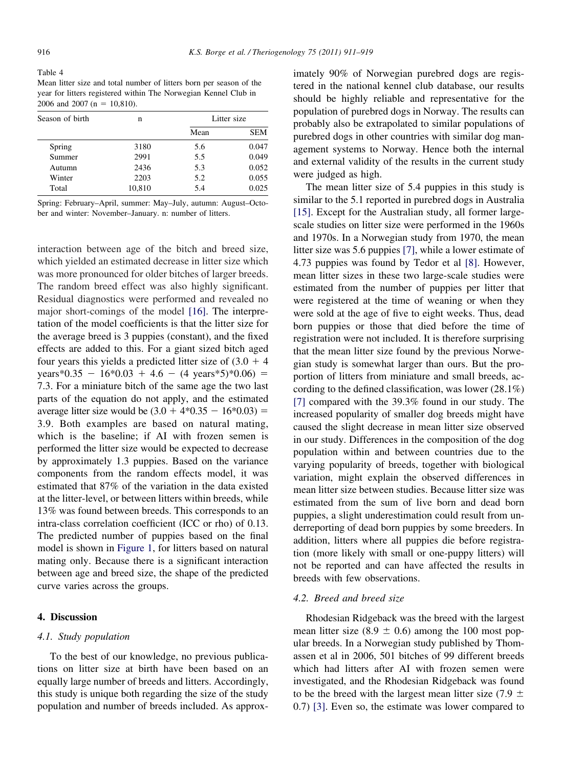<span id="page-5-0"></span>Table 4 Mean litter size and total number of litters born per season of the year for litters registered within The Norwegian Kennel Club in 2006 and 2007 (n =  $10,810$ ).

| Season of birth | n      |      | Litter size |  |  |
|-----------------|--------|------|-------------|--|--|
|                 |        | Mean | <b>SEM</b>  |  |  |
| Spring          | 3180   | 5.6  | 0.047       |  |  |
| Summer          | 2991   | 5.5  | 0.049       |  |  |
| Autumn          | 2436   | 5.3  | 0.052       |  |  |
| Winter          | 2203   | 5.2  | 0.055       |  |  |
| Total           | 10,810 | 5.4  | 0.025       |  |  |

Spring: February–April, summer: May–July, autumn: August–October and winter: November–January. n: number of litters.

interaction between age of the bitch and breed size, which yielded an estimated decrease in litter size which was more pronounced for older bitches of larger breeds. The random breed effect was also highly significant. Residual diagnostics were performed and revealed no major short-comings of the model [\[16\].](#page-8-0) The interpretation of the model coefficients is that the litter size for the average breed is 3 puppies (constant), and the fixed effects are added to this. For a giant sized bitch aged four years this yields a predicted litter size of  $(3.0 + 4)$ years\*0.35 -  $16*0.03 + 4.6 - (4 \text{ years*}5)*0.06$  = 7.3. For a miniature bitch of the same age the two last parts of the equation do not apply, and the estimated average litter size would be  $(3.0 + 4*0.35 - 16*0.03) =$ 3.9. Both examples are based on natural mating, which is the baseline; if AI with frozen semen is performed the litter size would be expected to decrease by approximately 1.3 puppies. Based on the variance components from the random effects model, it was estimated that 87% of the variation in the data existed at the litter-level, or between litters within breeds, while 13% was found between breeds. This corresponds to an intra-class correlation coefficient (ICC or rho) of 0.13. The predicted number of puppies based on the final model is shown in [Figure 1,](#page-2-0) for litters based on natural mating only. Because there is a significant interaction between age and breed size, the shape of the predicted curve varies across the groups.

#### **4. Discussion**

#### *4.1. Study population*

To the best of our knowledge, no previous publications on litter size at birth have been based on an equally large number of breeds and litters. Accordingly, this study is unique both regarding the size of the study population and number of breeds included. As approx-

imately 90% of Norwegian purebred dogs are registered in the national kennel club database, our results should be highly reliable and representative for the population of purebred dogs in Norway. The results can probably also be extrapolated to similar populations of purebred dogs in other countries with similar dog management systems to Norway. Hence both the internal and external validity of the results in the current study were judged as high.

The mean litter size of 5.4 puppies in this study is similar to the 5.1 reported in purebred dogs in Australia [\[15\].](#page-8-0) Except for the Australian study, all former largescale studies on litter size were performed in the 1960s and 1970s. In a Norwegian study from 1970, the mean litter size was 5.6 puppies [\[7\],](#page-8-0) while a lower estimate of 4.73 puppies was found by Tedor et al [\[8\].](#page-8-0) However, mean litter sizes in these two large-scale studies were estimated from the number of puppies per litter that were registered at the time of weaning or when they were sold at the age of five to eight weeks. Thus, dead born puppies or those that died before the time of registration were not included. It is therefore surprising that the mean litter size found by the previous Norwegian study is somewhat larger than ours. But the proportion of litters from miniature and small breeds, according to the defined classification, was lower (28.1%) [\[7\]](#page-8-0) compared with the 39.3% found in our study. The increased popularity of smaller dog breeds might have caused the slight decrease in mean litter size observed in our study. Differences in the composition of the dog population within and between countries due to the varying popularity of breeds, together with biological variation, might explain the observed differences in mean litter size between studies. Because litter size was estimated from the sum of live born and dead born puppies, a slight underestimation could result from underreporting of dead born puppies by some breeders. In addition, litters where all puppies die before registration (more likely with small or one-puppy litters) will not be reported and can have affected the results in breeds with few observations.

#### *4.2. Breed and breed size*

Rhodesian Ridgeback was the breed with the largest mean litter size (8.9  $\pm$  0.6) among the 100 most popular breeds. In a Norwegian study published by Thomassen et al in 2006, 501 bitches of 99 different breeds which had litters after AI with frozen semen were investigated, and the Rhodesian Ridgeback was found to be the breed with the largest mean litter size (7.9  $\pm$ 0.7) [\[3\].](#page-8-0) Even so, the estimate was lower compared to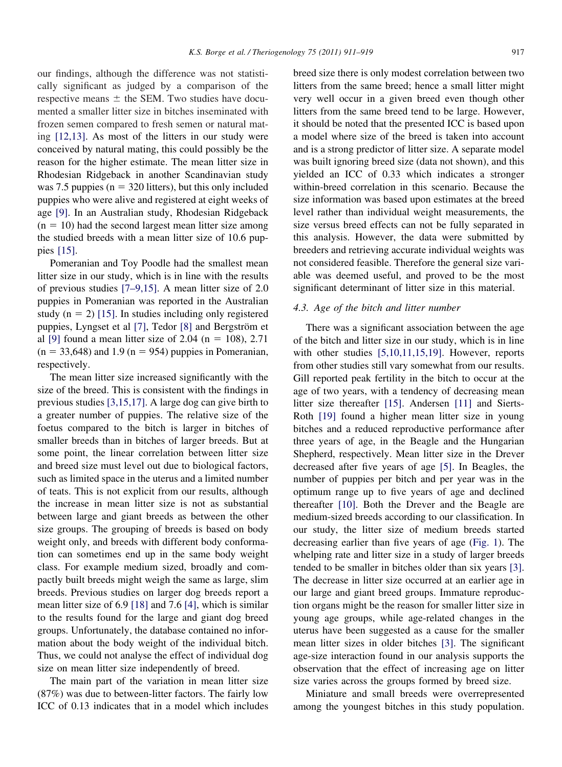our findings, although the difference was not statistically significant as judged by a comparison of the respective means  $\pm$  the SEM. Two studies have documented a smaller litter size in bitches inseminated with frozen semen compared to fresh semen or natural mating [\[12,13\].](#page-8-0) As most of the litters in our study were conceived by natural mating, this could possibly be the reason for the higher estimate. The mean litter size in Rhodesian Ridgeback in another Scandinavian study was 7.5 puppies ( $n = 320$  litters), but this only included puppies who were alive and registered at eight weeks of age [\[9\].](#page-8-0) In an Australian study, Rhodesian Ridgeback  $(n = 10)$  had the second largest mean litter size among the studied breeds with a mean litter size of 10.6 puppies [\[15\].](#page-8-0)

Pomeranian and Toy Poodle had the smallest mean litter size in our study, which is in line with the results of previous studies [\[7–9,15\].](#page-8-0) A mean litter size of 2.0 puppies in Pomeranian was reported in the Australian study ( $n = 2$ ) [\[15\].](#page-8-0) In studies including only registered puppies, Lyngset et al [\[7\],](#page-8-0) Tedor [\[8\]](#page-8-0) and Bergström et al [\[9\]](#page-8-0) found a mean litter size of 2.04 (n = 108), 2.71  $(n = 33,648)$  and 1.9  $(n = 954)$  puppies in Pomeranian, respectively.

The mean litter size increased significantly with the size of the breed. This is consistent with the findings in previous studies [\[3,15,17\].](#page-8-0) A large dog can give birth to a greater number of puppies. The relative size of the foetus compared to the bitch is larger in bitches of smaller breeds than in bitches of larger breeds. But at some point, the linear correlation between litter size and breed size must level out due to biological factors, such as limited space in the uterus and a limited number of teats. This is not explicit from our results, although the increase in mean litter size is not as substantial between large and giant breeds as between the other size groups. The grouping of breeds is based on body weight only, and breeds with different body conformation can sometimes end up in the same body weight class. For example medium sized, broadly and compactly built breeds might weigh the same as large, slim breeds. Previous studies on larger dog breeds report a mean litter size of 6.9 [\[18\]](#page-8-0) and 7.6 [\[4\],](#page-8-0) which is similar to the results found for the large and giant dog breed groups. Unfortunately, the database contained no information about the body weight of the individual bitch. Thus, we could not analyse the effect of individual dog size on mean litter size independently of breed.

The main part of the variation in mean litter size (87%) was due to between-litter factors. The fairly low ICC of 0.13 indicates that in a model which includes

breed size there is only modest correlation between two litters from the same breed; hence a small litter might very well occur in a given breed even though other litters from the same breed tend to be large. However, it should be noted that the presented ICC is based upon a model where size of the breed is taken into account and is a strong predictor of litter size. A separate model was built ignoring breed size (data not shown), and this yielded an ICC of 0.33 which indicates a stronger within-breed correlation in this scenario. Because the size information was based upon estimates at the breed level rather than individual weight measurements, the size versus breed effects can not be fully separated in this analysis. However, the data were submitted by breeders and retrieving accurate individual weights was not considered feasible. Therefore the general size variable was deemed useful, and proved to be the most significant determinant of litter size in this material.

#### *4.3. Age of the bitch and litter number*

There was a significant association between the age of the bitch and litter size in our study, which is in line with other studies [\[5,10,11,15,19\].](#page-8-0) However, reports from other studies still vary somewhat from our results. Gill reported peak fertility in the bitch to occur at the age of two years, with a tendency of decreasing mean litter size thereafter [\[15\].](#page-8-0) Andersen [\[11\]](#page-8-0) and Sierts-Roth [\[19\]](#page-8-0) found a higher mean litter size in young bitches and a reduced reproductive performance after three years of age, in the Beagle and the Hungarian Shepherd, respectively. Mean litter size in the Drever decreased after five years of age [\[5\].](#page-8-0) In Beagles, the number of puppies per bitch and per year was in the optimum range up to five years of age and declined thereafter [\[10\].](#page-8-0) Both the Drever and the Beagle are medium-sized breeds according to our classification. In our study, the litter size of medium breeds started decreasing earlier than five years of age [\(Fig. 1\)](#page-2-0). The whelping rate and litter size in a study of larger breeds tended to be smaller in bitches older than six years [\[3\].](#page-8-0) The decrease in litter size occurred at an earlier age in our large and giant breed groups. Immature reproduction organs might be the reason for smaller litter size in young age groups, while age-related changes in the uterus have been suggested as a cause for the smaller mean litter sizes in older bitches [\[3\].](#page-8-0) The significant age-size interaction found in our analysis supports the observation that the effect of increasing age on litter size varies across the groups formed by breed size.

Miniature and small breeds were overrepresented among the youngest bitches in this study population.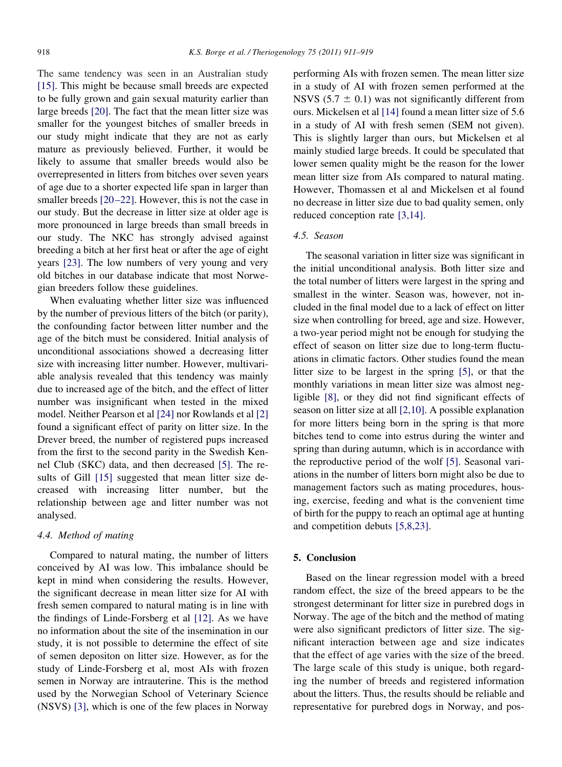The same tendency was seen in an Australian study [\[15\].](#page-8-0) This might be because small breeds are expected to be fully grown and gain sexual maturity earlier than large breeds [\[20\].](#page-8-0) The fact that the mean litter size was smaller for the youngest bitches of smaller breeds in our study might indicate that they are not as early mature as previously believed. Further, it would be likely to assume that smaller breeds would also be overrepresented in litters from bitches over seven years of age due to a shorter expected life span in larger than smaller breeds [\[20–22\].](#page-8-0) However, this is not the case in our study. But the decrease in litter size at older age is more pronounced in large breeds than small breeds in our study. The NKC has strongly advised against breeding a bitch at her first heat or after the age of eight years [\[23\].](#page-8-0) The low numbers of very young and very old bitches in our database indicate that most Norwegian breeders follow these guidelines.

When evaluating whether litter size was influenced by the number of previous litters of the bitch (or parity), the confounding factor between litter number and the age of the bitch must be considered. Initial analysis of unconditional associations showed a decreasing litter size with increasing litter number. However, multivariable analysis revealed that this tendency was mainly due to increased age of the bitch, and the effect of litter number was insignificant when tested in the mixed model. Neither Pearson et al [\[24\]](#page-8-0) nor Rowlands et al [\[2\]](#page-8-0) found a significant effect of parity on litter size. In the Drever breed, the number of registered pups increased from the first to the second parity in the Swedish Kennel Club (SKC) data, and then decreased [\[5\].](#page-8-0) The re-sults of Gill [\[15\]](#page-8-0) suggested that mean litter size decreased with increasing litter number, but the relationship between age and litter number was not analysed.

#### *4.4. Method of mating*

Compared to natural mating, the number of litters conceived by AI was low. This imbalance should be kept in mind when considering the results. However, the significant decrease in mean litter size for AI with fresh semen compared to natural mating is in line with the findings of Linde-Forsberg et al [\[12\].](#page-8-0) As we have no information about the site of the insemination in our study, it is not possible to determine the effect of site of semen depositon on litter size. However, as for the study of Linde-Forsberg et al, most AIs with frozen semen in Norway are intrauterine. This is the method used by the Norwegian School of Veterinary Science (NSVS) [\[3\],](#page-8-0) which is one of the few places in Norway

performing AIs with frozen semen. The mean litter size in a study of AI with frozen semen performed at the NSVS (5.7  $\pm$  0.1) was not significantly different from ours. Mickelsen et al [\[14\]](#page-8-0) found a mean litter size of 5.6 in a study of AI with fresh semen (SEM not given). This is slightly larger than ours, but Mickelsen et al mainly studied large breeds. It could be speculated that lower semen quality might be the reason for the lower mean litter size from AIs compared to natural mating. However, Thomassen et al and Mickelsen et al found no decrease in litter size due to bad quality semen, only reduced conception rate [\[3,14\].](#page-8-0)

#### *4.5. Season*

The seasonal variation in litter size was significant in the initial unconditional analysis. Both litter size and the total number of litters were largest in the spring and smallest in the winter. Season was, however, not included in the final model due to a lack of effect on litter size when controlling for breed, age and size. However, a two-year period might not be enough for studying the effect of season on litter size due to long-term fluctuations in climatic factors. Other studies found the mean litter size to be largest in the spring [\[5\],](#page-8-0) or that the monthly variations in mean litter size was almost negligible [\[8\],](#page-8-0) or they did not find significant effects of season on litter size at all [\[2,10\].](#page-8-0) A possible explanation for more litters being born in the spring is that more bitches tend to come into estrus during the winter and spring than during autumn, which is in accordance with the reproductive period of the wolf [\[5\].](#page-8-0) Seasonal variations in the number of litters born might also be due to management factors such as mating procedures, housing, exercise, feeding and what is the convenient time of birth for the puppy to reach an optimal age at hunting and competition debuts [\[5,8,23\].](#page-8-0)

#### **5. Conclusion**

Based on the linear regression model with a breed random effect, the size of the breed appears to be the strongest determinant for litter size in purebred dogs in Norway. The age of the bitch and the method of mating were also significant predictors of litter size. The significant interaction between age and size indicates that the effect of age varies with the size of the breed. The large scale of this study is unique, both regarding the number of breeds and registered information about the litters. Thus, the results should be reliable and representative for purebred dogs in Norway, and pos